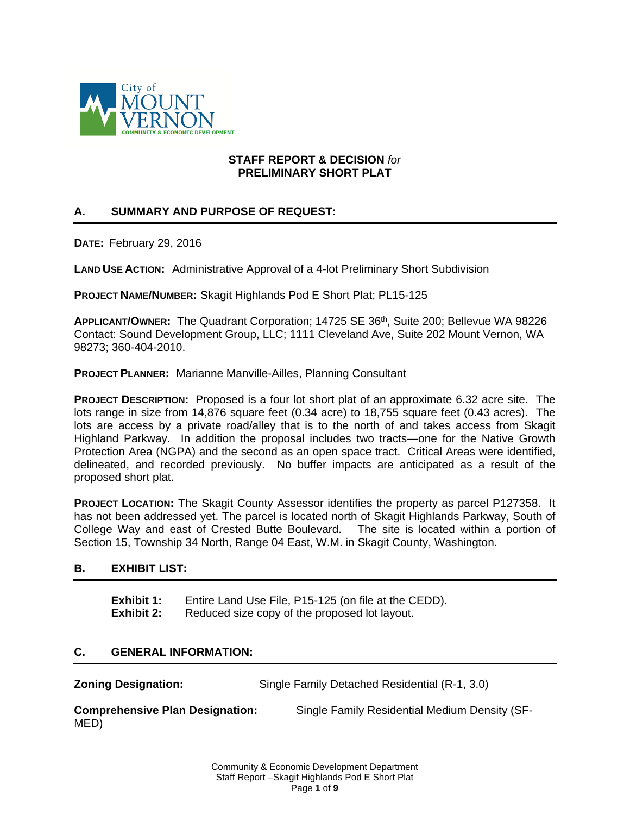

### **STAFF REPORT & DECISION** *for* **PRELIMINARY SHORT PLAT**

# **A. SUMMARY AND PURPOSE OF REQUEST:**

**DATE:** February 29, 2016

**LAND USE ACTION:** Administrative Approval of a 4-lot Preliminary Short Subdivision

**PROJECT NAME/NUMBER:** Skagit Highlands Pod E Short Plat; PL15-125

**APPLICANT/OWNER:** The Quadrant Corporation; 14725 SE 36th, Suite 200; Bellevue WA 98226 Contact: Sound Development Group, LLC; 1111 Cleveland Ave, Suite 202 Mount Vernon, WA 98273; 360-404-2010.

**PROJECT PLANNER:** Marianne Manville-Ailles, Planning Consultant

**PROJECT DESCRIPTION:** Proposed is a four lot short plat of an approximate 6.32 acre site. The lots range in size from 14,876 square feet (0.34 acre) to 18,755 square feet (0.43 acres). The lots are access by a private road/alley that is to the north of and takes access from Skagit Highland Parkway. In addition the proposal includes two tracts—one for the Native Growth Protection Area (NGPA) and the second as an open space tract. Critical Areas were identified, delineated, and recorded previously. No buffer impacts are anticipated as a result of the proposed short plat.

**PROJECT LOCATION:** The Skagit County Assessor identifies the property as parcel P127358. It has not been addressed yet. The parcel is located north of Skagit Highlands Parkway, South of College Way and east of Crested Butte Boulevard. The site is located within a portion of Section 15, Township 34 North, Range 04 East, W.M. in Skagit County, Washington.

## **B. EXHIBIT LIST:**

**Exhibit 1:** Entire Land Use File, P15-125 (on file at the CEDD). **Exhibit 2:** Reduced size copy of the proposed lot layout.

## **C. GENERAL INFORMATION:**

**Zoning Designation:** Single Family Detached Residential (R-1, 3.0)

**Comprehensive Plan Designation:** Single Family Residential Medium Density (SF-MED)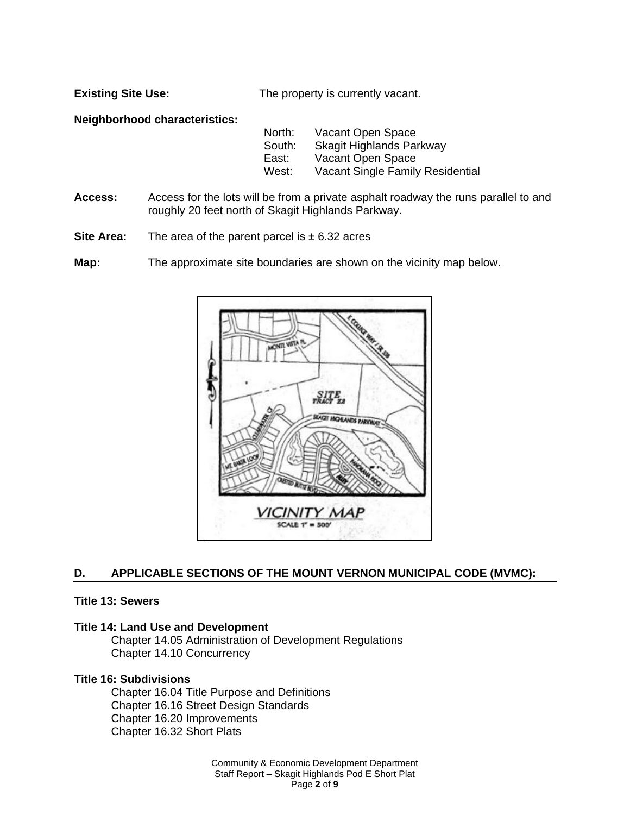**Existing Site Use:** The property is currently vacant.

**Neighborhood characteristics:**

| North: | Vacant Open Space                |
|--------|----------------------------------|
| South: | Skagit Highlands Parkway         |
| East:  | Vacant Open Space                |
| West:  | Vacant Single Family Residential |

- **Access:** Access for the lots will be from a private asphalt roadway the runs parallel to and roughly 20 feet north of Skagit Highlands Parkway.
- **Site Area:** The area of the parent parcel is  $\pm$  6.32 acres

**Map:** The approximate site boundaries are shown on the vicinity map below.



## **D. APPLICABLE SECTIONS OF THE MOUNT VERNON MUNICIPAL CODE (MVMC):**

#### **Title 13: Sewers**

#### **Title 14: Land Use and Development**

Chapter 14.05 Administration of Development Regulations Chapter 14.10 Concurrency

#### **Title 16: Subdivisions**

Chapter 16.04 Title Purpose and Definitions Chapter 16.16 Street Design Standards Chapter 16.20 Improvements Chapter 16.32 Short Plats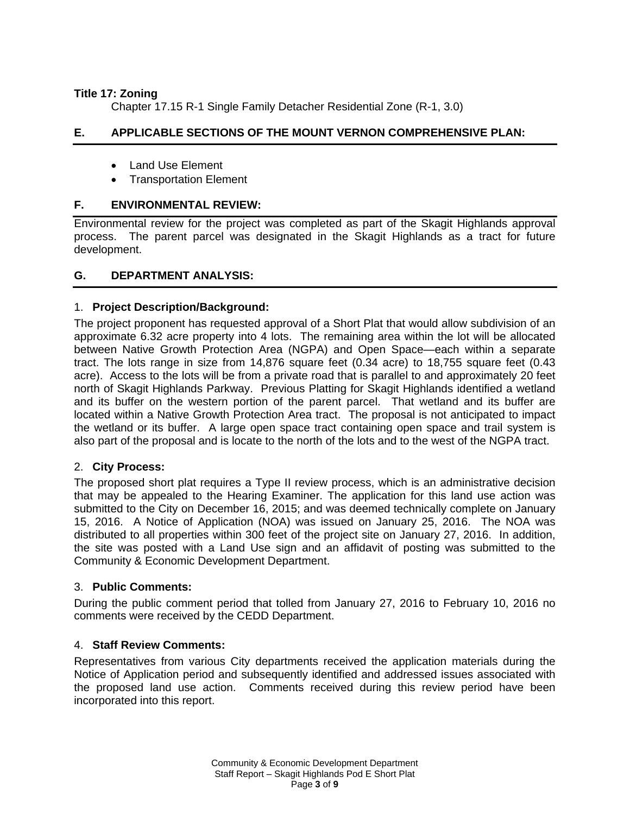## **Title 17: Zoning**

Chapter 17.15 R-1 Single Family Detacher Residential Zone (R-1, 3.0)

# **E. APPLICABLE SECTIONS OF THE MOUNT VERNON COMPREHENSIVE PLAN:**

- Land Use Element
- Transportation Element

## **F. ENVIRONMENTAL REVIEW:**

Environmental review for the project was completed as part of the Skagit Highlands approval process. The parent parcel was designated in the Skagit Highlands as a tract for future development.

## **G. DEPARTMENT ANALYSIS:**

## 1. **Project Description/Background:**

The project proponent has requested approval of a Short Plat that would allow subdivision of an approximate 6.32 acre property into 4 lots. The remaining area within the lot will be allocated between Native Growth Protection Area (NGPA) and Open Space—each within a separate tract. The lots range in size from 14,876 square feet (0.34 acre) to 18,755 square feet (0.43 acre). Access to the lots will be from a private road that is parallel to and approximately 20 feet north of Skagit Highlands Parkway. Previous Platting for Skagit Highlands identified a wetland and its buffer on the western portion of the parent parcel. That wetland and its buffer are located within a Native Growth Protection Area tract. The proposal is not anticipated to impact the wetland or its buffer. A large open space tract containing open space and trail system is also part of the proposal and is locate to the north of the lots and to the west of the NGPA tract.

## 2. **City Process:**

The proposed short plat requires a Type II review process, which is an administrative decision that may be appealed to the Hearing Examiner. The application for this land use action was submitted to the City on December 16, 2015; and was deemed technically complete on January 15, 2016. A Notice of Application (NOA) was issued on January 25, 2016. The NOA was distributed to all properties within 300 feet of the project site on January 27, 2016. In addition, the site was posted with a Land Use sign and an affidavit of posting was submitted to the Community & Economic Development Department.

## 3. **Public Comments:**

During the public comment period that tolled from January 27, 2016 to February 10, 2016 no comments were received by the CEDD Department.

## 4. **Staff Review Comments:**

Representatives from various City departments received the application materials during the Notice of Application period and subsequently identified and addressed issues associated with the proposed land use action. Comments received during this review period have been incorporated into this report.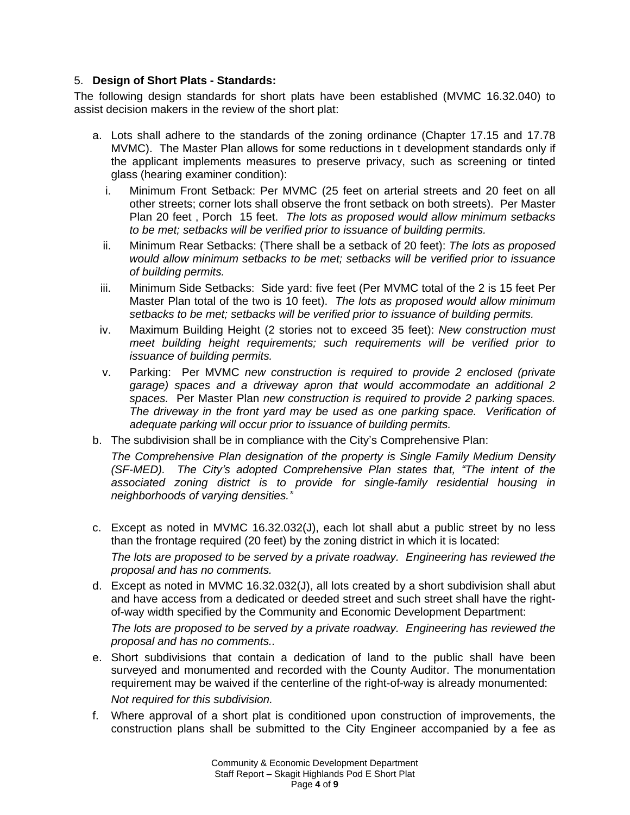### 5. **Design of Short Plats - Standards:**

The following design standards for short plats have been established (MVMC 16.32.040) to assist decision makers in the review of the short plat:

- a. Lots shall adhere to the standards of the zoning ordinance (Chapter 17.15 and 17.78 MVMC). The Master Plan allows for some reductions in t development standards only if the applicant implements measures to preserve privacy, such as screening or tinted glass (hearing examiner condition):
	- i. Minimum Front Setback: Per MVMC (25 feet on arterial streets and 20 feet on all other streets; corner lots shall observe the front setback on both streets). Per Master Plan 20 feet , Porch 15 feet. *The lots as proposed would allow minimum setbacks to be met; setbacks will be verified prior to issuance of building permits.*
	- ii. Minimum Rear Setbacks: (There shall be a setback of 20 feet): *The lots as proposed would allow minimum setbacks to be met; setbacks will be verified prior to issuance of building permits.*
	- iii. Minimum Side Setbacks: Side yard: five feet (Per MVMC total of the 2 is 15 feet Per Master Plan total of the two is 10 feet). *The lots as proposed would allow minimum setbacks to be met; setbacks will be verified prior to issuance of building permits.*
- iv. Maximum Building Height (2 stories not to exceed 35 feet): *New construction must meet building height requirements; such requirements will be verified prior to issuance of building permits.*
- v. Parking: Per MVMC *new construction is required to provide 2 enclosed (private garage) spaces and a driveway apron that would accommodate an additional 2 spaces.* Per Master Plan *new construction is required to provide 2 parking spaces. The driveway in the front yard may be used as one parking space. Verification of adequate parking will occur prior to issuance of building permits.*
- b. The subdivision shall be in compliance with the City's Comprehensive Plan:

*The Comprehensive Plan designation of the property is Single Family Medium Density (SF-MED). The City's adopted Comprehensive Plan states that, "The intent of the associated zoning district is to provide for single-family residential housing in neighborhoods of varying densities."*

- c. Except as noted in MVMC 16.32.032(J), each lot shall abut a public street by no less than the frontage required (20 feet) by the zoning district in which it is located: *The lots are proposed to be served by a private roadway. Engineering has reviewed the proposal and has no comments.*
- d. Except as noted in MVMC 16.32.032(J), all lots created by a short subdivision shall abut and have access from a dedicated or deeded street and such street shall have the rightof-way width specified by the Community and Economic Development Department:

*The lots are proposed to be served by a private roadway. Engineering has reviewed the proposal and has no comments..*

- e. Short subdivisions that contain a dedication of land to the public shall have been surveyed and monumented and recorded with the County Auditor. The monumentation requirement may be waived if the centerline of the right-of-way is already monumented: *Not required for this subdivision.*
- f. Where approval of a short plat is conditioned upon construction of improvements, the construction plans shall be submitted to the City Engineer accompanied by a fee as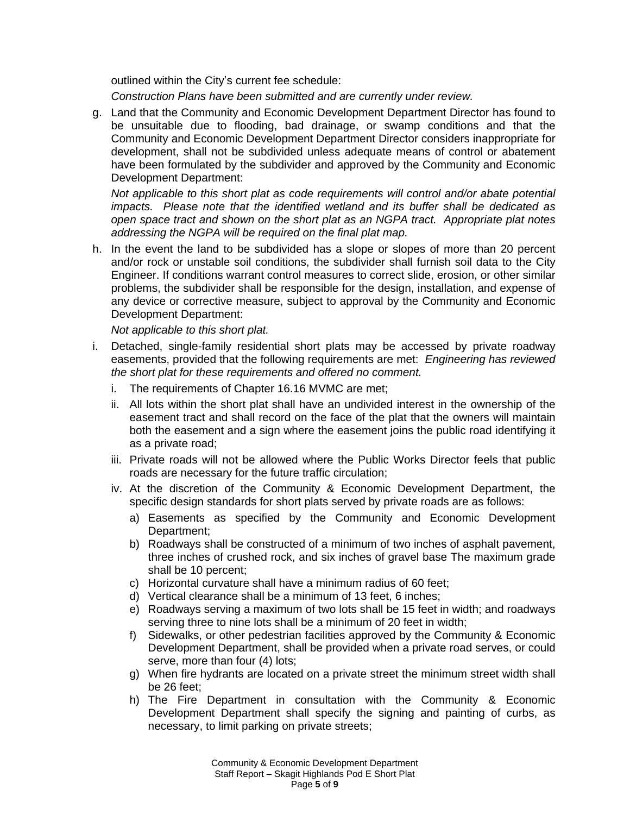outlined within the City's current fee schedule:

*Construction Plans have been submitted and are currently under review.*

g. Land that the Community and Economic Development Department Director has found to be unsuitable due to flooding, bad drainage, or swamp conditions and that the Community and Economic Development Department Director considers inappropriate for development, shall not be subdivided unless adequate means of control or abatement have been formulated by the subdivider and approved by the Community and Economic Development Department:

*Not applicable to this short plat as code requirements will control and/or abate potential impacts. Please note that the identified wetland and its buffer shall be dedicated as open space tract and shown on the short plat as an NGPA tract. Appropriate plat notes addressing the NGPA will be required on the final plat map.*

h. In the event the land to be subdivided has a slope or slopes of more than 20 percent and/or rock or unstable soil conditions, the subdivider shall furnish soil data to the City Engineer. If conditions warrant control measures to correct slide, erosion, or other similar problems, the subdivider shall be responsible for the design, installation, and expense of any device or corrective measure, subject to approval by the Community and Economic Development Department:

*Not applicable to this short plat.*

- i. Detached, single-family residential short plats may be accessed by private roadway easements, provided that the following requirements are met: *Engineering has reviewed the short plat for these requirements and offered no comment.*
	- i. The requirements of Chapter 16.16 MVMC are met;
	- ii. All lots within the short plat shall have an undivided interest in the ownership of the easement tract and shall record on the face of the plat that the owners will maintain both the easement and a sign where the easement joins the public road identifying it as a private road;
	- iii. Private roads will not be allowed where the Public Works Director feels that public roads are necessary for the future traffic circulation;
	- iv. At the discretion of the Community & Economic Development Department, the specific design standards for short plats served by private roads are as follows:
		- a) Easements as specified by the Community and Economic Development Department;
		- b) Roadways shall be constructed of a minimum of two inches of asphalt pavement, three inches of crushed rock, and six inches of gravel base The maximum grade shall be 10 percent;
		- c) Horizontal curvature shall have a minimum radius of 60 feet;
		- d) Vertical clearance shall be a minimum of 13 feet, 6 inches;
		- e) Roadways serving a maximum of two lots shall be 15 feet in width; and roadways serving three to nine lots shall be a minimum of 20 feet in width;
		- f) Sidewalks, or other pedestrian facilities approved by the Community & Economic Development Department, shall be provided when a private road serves, or could serve, more than four (4) lots;
		- g) When fire hydrants are located on a private street the minimum street width shall be 26 feet;
		- h) The Fire Department in consultation with the Community & Economic Development Department shall specify the signing and painting of curbs, as necessary, to limit parking on private streets;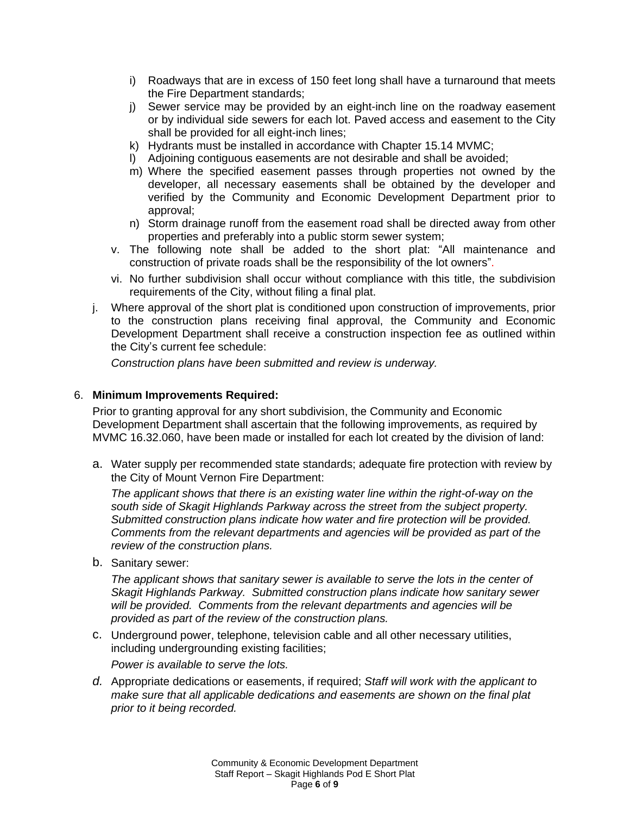- i) Roadways that are in excess of 150 feet long shall have a turnaround that meets the Fire Department standards;
- j) Sewer service may be provided by an eight-inch line on the roadway easement or by individual side sewers for each lot. Paved access and easement to the City shall be provided for all eight-inch lines;
- k) Hydrants must be installed in accordance with Chapter 15.14 MVMC;
- l) Adjoining contiguous easements are not desirable and shall be avoided;
- m) Where the specified easement passes through properties not owned by the developer, all necessary easements shall be obtained by the developer and verified by the Community and Economic Development Department prior to approval;
- n) Storm drainage runoff from the easement road shall be directed away from other properties and preferably into a public storm sewer system;
- v. The following note shall be added to the short plat: "All maintenance and construction of private roads shall be the responsibility of the lot owners".
- vi. No further subdivision shall occur without compliance with this title, the subdivision requirements of the City, without filing a final plat.
- j. Where approval of the short plat is conditioned upon construction of improvements, prior to the construction plans receiving final approval, the Community and Economic Development Department shall receive a construction inspection fee as outlined within the City's current fee schedule:

*Construction plans have been submitted and review is underway.*

### 6. **Minimum Improvements Required:**

Prior to granting approval for any short subdivision, the Community and Economic Development Department shall ascertain that the following improvements, as required by MVMC 16.32.060, have been made or installed for each lot created by the division of land:

a. Water supply per recommended state standards; adequate fire protection with review by the City of Mount Vernon Fire Department:

*The applicant shows that there is an existing water line within the right-of-way on the south side of Skagit Highlands Parkway across the street from the subject property. Submitted construction plans indicate how water and fire protection will be provided. Comments from the relevant departments and agencies will be provided as part of the review of the construction plans.* 

b. Sanitary sewer:

*The applicant shows that sanitary sewer is available to serve the lots in the center of Skagit Highlands Parkway. Submitted construction plans indicate how sanitary sewer will be provided. Comments from the relevant departments and agencies will be provided as part of the review of the construction plans.*

c. Underground power, telephone, television cable and all other necessary utilities, including undergrounding existing facilities;

*Power is available to serve the lots.*

*d.* Appropriate dedications or easements, if required; *Staff will work with the applicant to make sure that all applicable dedications and easements are shown on the final plat prior to it being recorded.*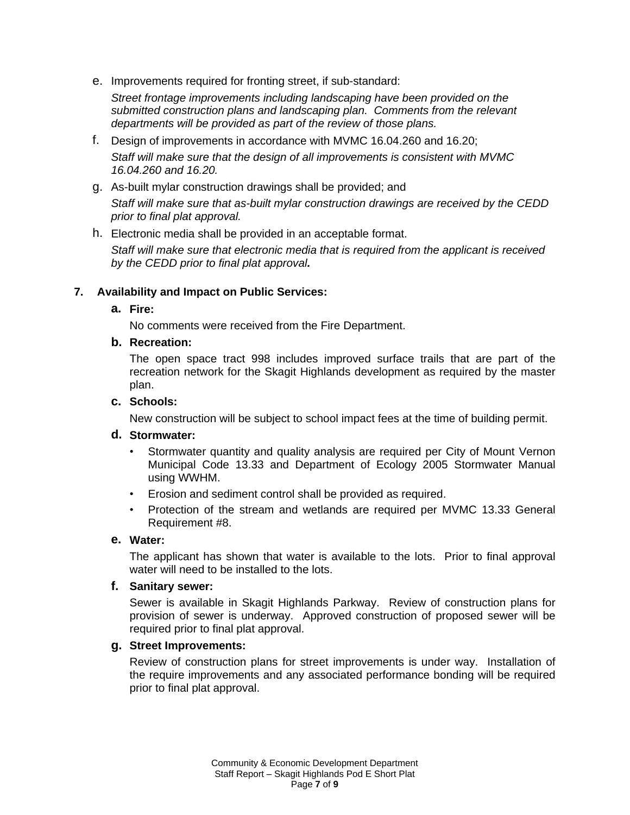e. Improvements required for fronting street, if sub-standard:

*Street frontage improvements including landscaping have been provided on the submitted construction plans and landscaping plan. Comments from the relevant departments will be provided as part of the review of those plans.*

- f. Design of improvements in accordance with MVMC 16.04.260 and 16.20; *Staff will make sure that the design of all improvements is consistent with MVMC 16.04.260 and 16.20.*
- g. As-built mylar construction drawings shall be provided; and *Staff will make sure that as-built mylar construction drawings are received by the CEDD prior to final plat approval.*

### h. Electronic media shall be provided in an acceptable format.

*Staff will make sure that electronic media that is required from the applicant is received by the CEDD prior to final plat approval.*

### **7. Availability and Impact on Public Services:**

### **a. Fire:**

No comments were received from the Fire Department.

### **b. Recreation:**

The open space tract 998 includes improved surface trails that are part of the recreation network for the Skagit Highlands development as required by the master plan.

### **c. Schools:**

New construction will be subject to school impact fees at the time of building permit.

#### **d. Stormwater:**

- Stormwater quantity and quality analysis are required per City of Mount Vernon Municipal Code 13.33 and Department of Ecology 2005 Stormwater Manual using WWHM.
- Erosion and sediment control shall be provided as required.
- Protection of the stream and wetlands are required per MVMC 13.33 General Requirement #8.

#### **e. Water:**

The applicant has shown that water is available to the lots. Prior to final approval water will need to be installed to the lots.

#### **f. Sanitary sewer:**

Sewer is available in Skagit Highlands Parkway. Review of construction plans for provision of sewer is underway. Approved construction of proposed sewer will be required prior to final plat approval.

#### **g. Street Improvements:**

Review of construction plans for street improvements is under way. Installation of the require improvements and any associated performance bonding will be required prior to final plat approval.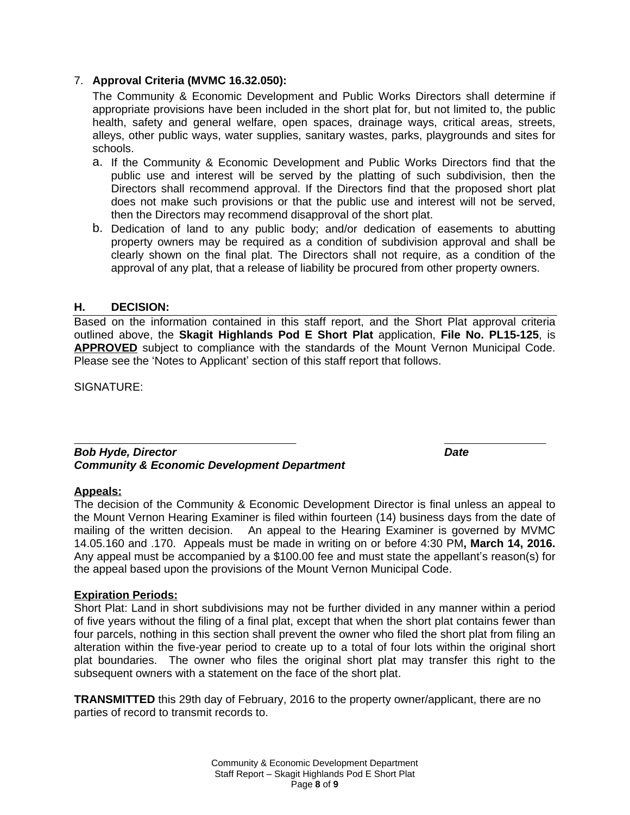### 7. **Approval Criteria (MVMC 16.32.050):**

The Community & Economic Development and Public Works Directors shall determine if appropriate provisions have been included in the short plat for, but not limited to, the public health, safety and general welfare, open spaces, drainage ways, critical areas, streets, alleys, other public ways, water supplies, sanitary wastes, parks, playgrounds and sites for schools.

- a. If the Community & Economic Development and Public Works Directors find that the public use and interest will be served by the platting of such subdivision, then the Directors shall recommend approval. If the Directors find that the proposed short plat does not make such provisions or that the public use and interest will not be served, then the Directors may recommend disapproval of the short plat.
- b. Dedication of land to any public body; and/or dedication of easements to abutting property owners may be required as a condition of subdivision approval and shall be clearly shown on the final plat. The Directors shall not require, as a condition of the approval of any plat, that a release of liability be procured from other property owners.

### **H. DECISION:**

Based on the information contained in this staff report, and the Short Plat approval criteria outlined above, the **Skagit Highlands Pod E Short Plat** application, **File No. PL15-125**, is **APPROVED** subject to compliance with the standards of the Mount Vernon Municipal Code. Please see the 'Notes to Applicant' section of this staff report that follows.

SIGNATURE:

#### $\overline{a}$ *Bob Hyde, Director Date Community & Economic Development Department*

#### **Appeals:**

The decision of the Community & Economic Development Director is final unless an appeal to the Mount Vernon Hearing Examiner is filed within fourteen (14) business days from the date of mailing of the written decision. An appeal to the Hearing Examiner is governed by MVMC 14.05.160 and .170. Appeals must be made in writing on or before 4:30 PM**, March 14, 2016.** Any appeal must be accompanied by a \$100.00 fee and must state the appellant's reason(s) for the appeal based upon the provisions of the Mount Vernon Municipal Code.

#### **Expiration Periods:**

Short Plat: Land in short subdivisions may not be further divided in any manner within a period of five years without the filing of a final plat, except that when the short plat contains fewer than four parcels, nothing in this section shall prevent the owner who filed the short plat from filing an alteration within the five-year period to create up to a total of four lots within the original short plat boundaries. The owner who files the original short plat may transfer this right to the subsequent owners with a statement on the face of the short plat.

**TRANSMITTED** this 29th day of February, 2016 to the property owner/applicant, there are no parties of record to transmit records to.